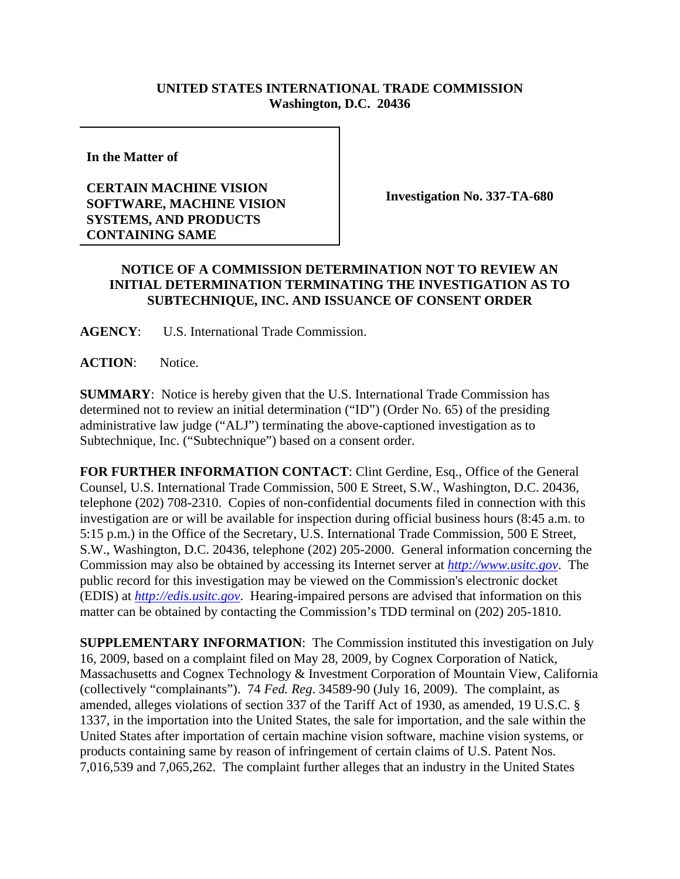## **UNITED STATES INTERNATIONAL TRADE COMMISSION Washington, D.C. 20436**

**In the Matter of** 

## **CERTAIN MACHINE VISION SOFTWARE, MACHINE VISION SYSTEMS, AND PRODUCTS CONTAINING SAME**

**Investigation No. 337-TA-680**

## **NOTICE OF A COMMISSION DETERMINATION NOT TO REVIEW AN INITIAL DETERMINATION TERMINATING THE INVESTIGATION AS TO SUBTECHNIQUE, INC. AND ISSUANCE OF CONSENT ORDER**

**AGENCY**: U.S. International Trade Commission.

**ACTION**: Notice.

**SUMMARY**: Notice is hereby given that the U.S. International Trade Commission has determined not to review an initial determination ("ID") (Order No. 65) of the presiding administrative law judge ("ALJ") terminating the above-captioned investigation as to Subtechnique, Inc. ("Subtechnique") based on a consent order.

**FOR FURTHER INFORMATION CONTACT**: Clint Gerdine, Esq., Office of the General Counsel, U.S. International Trade Commission, 500 E Street, S.W., Washington, D.C. 20436, telephone (202) 708-2310. Copies of non-confidential documents filed in connection with this investigation are or will be available for inspection during official business hours (8:45 a.m. to 5:15 p.m.) in the Office of the Secretary, U.S. International Trade Commission, 500 E Street, S.W., Washington, D.C. 20436, telephone (202) 205-2000. General information concerning the Commission may also be obtained by accessing its Internet server at *http://www.usitc.gov*. The public record for this investigation may be viewed on the Commission's electronic docket (EDIS) at *http://edis.usitc.gov*. Hearing-impaired persons are advised that information on this matter can be obtained by contacting the Commission's TDD terminal on (202) 205-1810.

**SUPPLEMENTARY INFORMATION**: The Commission instituted this investigation on July 16, 2009, based on a complaint filed on May 28, 2009, by Cognex Corporation of Natick, Massachusetts and Cognex Technology & Investment Corporation of Mountain View, California (collectively "complainants"). 74 *Fed. Reg*. 34589-90 (July 16, 2009). The complaint, as amended, alleges violations of section 337 of the Tariff Act of 1930, as amended, 19 U.S.C. § 1337, in the importation into the United States, the sale for importation, and the sale within the United States after importation of certain machine vision software, machine vision systems, or products containing same by reason of infringement of certain claims of U.S. Patent Nos. 7,016,539 and 7,065,262. The complaint further alleges that an industry in the United States